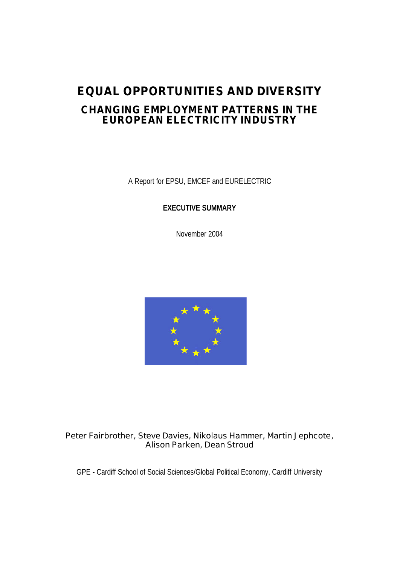# **EQUAL OPPORTUNITIES AND DIVERSITY CHANGING EMPLOYMENT PATTERNS IN THE EUROPEAN ELECTRICITY INDUSTRY**

A Report for EPSU, EMCEF and EURELECTRIC

**EXECUTIVE SUMMARY**

November 2004



# **Peter Fairbrother, Steve Davies, Nikolaus Hammer, Martin Jephcote, Alison Parken, Dean Stroud**

GPE - Cardiff School of Social Sciences/Global Political Economy, Cardiff University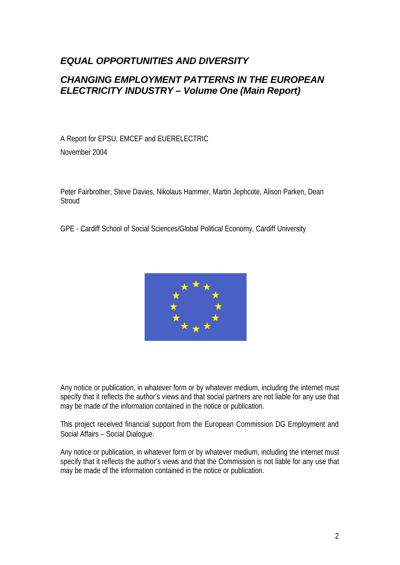# *EQUAL OPPORTUNITIES AND DIVERSITY*

# *CHANGING EMPLOYMENT PATTERNS IN THE EUROPEAN ELECTRICITY INDUSTRY – Volume One (Main Report)*

A Report for EPSU, EMCEF and EUERELECTRIC November 2004

Peter Fairbrother, Steve Davies, Nikolaus Hammer, Martin Jephcote, Alison Parken, Dean **Stroud** 

GPE - Cardiff School of Social Sciences/Global Political Economy, Cardiff University



Any notice or publication, in whatever form or by whatever medium, including the internet must specify that it reflects the author's views and that social partners are not liable for any use that may be made of the information contained in the notice or publication.

This project received financial support from the European Commission DG Employment and Social Affairs – Social Dialogue.

Any notice or publication, in whatever form or by whatever medium, including the internet must specify that it reflects the author's views and that the Commission is not liable for any use that may be made of the information contained in the notice or publication.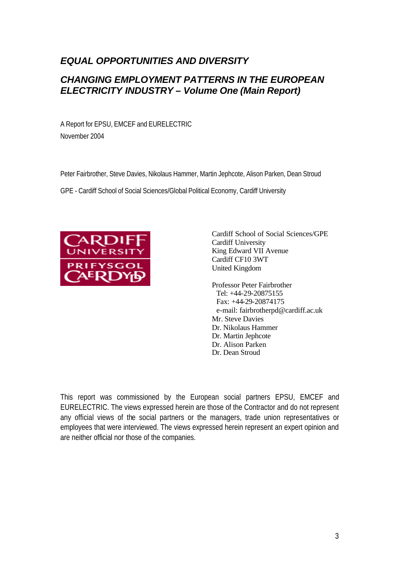# *EQUAL OPPORTUNITIES AND DIVERSITY*

# *CHANGING EMPLOYMENT PATTERNS IN THE EUROPEAN ELECTRICITY INDUSTRY – Volume One (Main Report)*

A Report for EPSU, EMCEF and EURELECTRIC November 2004

Peter Fairbrother, Steve Davies, Nikolaus Hammer, Martin Jephcote, Alison Parken, Dean Stroud

GPE - Cardiff School of Social Sciences/Global Political Economy, Cardiff University



Cardiff School of Social Sciences/GPE Cardiff University King Edward VII Avenue Cardiff CF10 3WT United Kingdom

Professor Peter Fairbrother Tel: +44-29-20875155 Fax: +44-29-20874175 e-mail: fairbrotherpd@cardiff.ac.uk Mr. Steve Davies Dr. Nikolaus Hammer Dr. Martin Jephcote Dr. Alison Parken Dr. Dean Stroud

This report was commissioned by the European social partners EPSU, EMCEF and EURELECTRIC. The views expressed herein are those of the Contractor and do not represent any official views of the social partners or the managers, trade union representatives or employees that were interviewed. The views expressed herein represent an expert opinion and are neither official nor those of the companies.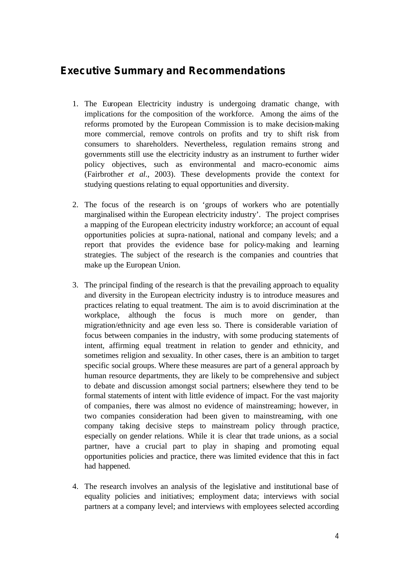# **Executive Summary and Recommendations**

- 1. The European Electricity industry is undergoing dramatic change, with implications for the composition of the workforce. Among the aims of the reforms promoted by the European Commission is to make decision-making more commercial, remove controls on profits and try to shift risk from consumers to shareholders. Nevertheless, regulation remains strong and governments still use the electricity industry as an instrument to further wider policy objectives, such as environmental and macro-economic aims (Fairbrother *et al*., 2003). These developments provide the context for studying questions relating to equal opportunities and diversity.
- 2. The focus of the research is on 'groups of workers who are potentially marginalised within the European electricity industry'. The project comprises a mapping of the European electricity industry workforce; an account of equal opportunities policies at supra-national, national and company levels; and a report that provides the evidence base for policy-making and learning strategies. The subject of the research is the companies and countries that make up the European Union.
- 3. The principal finding of the research is that the prevailing approach to equality and diversity in the European electricity industry is to introduce measures and practices relating to equal treatment. The aim is to avoid discrimination at the workplace, although the focus is much more on gender, than migration/ethnicity and age even less so. There is considerable variation of focus between companies in the industry, with some producing statements of intent, affirming equal treatment in relation to gender and ethnicity, and sometimes religion and sexuality. In other cases, there is an ambition to target specific social groups. Where these measures are part of a general approach by human resource departments, they are likely to be comprehensive and subject to debate and discussion amongst social partners; elsewhere they tend to be formal statements of intent with little evidence of impact. For the vast majority of companies, there was almost no evidence of mainstreaming; however, in two companies consideration had been given to mainstreaming, with one company taking decisive steps to mainstream policy through practice, especially on gender relations. While it is clear that trade unions, as a social partner, have a crucial part to play in shaping and promoting equal opportunities policies and practice, there was limited evidence that this in fact had happened.
- 4. The research involves an analysis of the legislative and institutional base of equality policies and initiatives; employment data; interviews with social partners at a company level; and interviews with employees selected according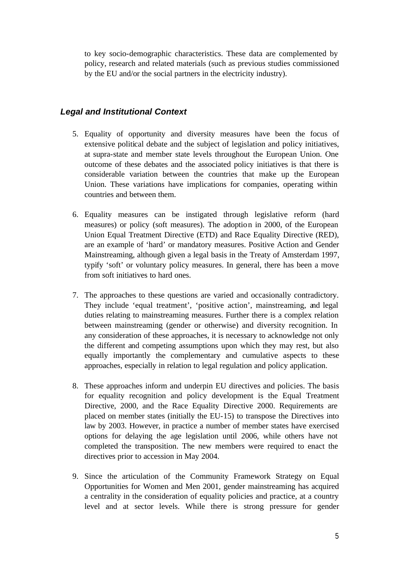to key socio-demographic characteristics. These data are complemented by policy, research and related materials (such as previous studies commissioned by the EU and/or the social partners in the electricity industry).

### *Legal and Institutional Context*

- 5. Equality of opportunity and diversity measures have been the focus of extensive political debate and the subject of legislation and policy initiatives, at supra-state and member state levels throughout the European Union. One outcome of these debates and the associated policy initiatives is that there is considerable variation between the countries that make up the European Union. These variations have implications for companies, operating within countries and between them.
- 6. Equality measures can be instigated through legislative reform (hard measures) or policy (soft measures). The adoption in 2000, of the European Union Equal Treatment Directive (ETD) and Race Equality Directive (RED), are an example of 'hard' or mandatory measures. Positive Action and Gender Mainstreaming, although given a legal basis in the Treaty of Amsterdam 1997, typify 'soft' or voluntary policy measures. In general, there has been a move from soft initiatives to hard ones.
- 7. The approaches to these questions are varied and occasionally contradictory. They include 'equal treatment', 'positive action', mainstreaming, and legal duties relating to mainstreaming measures. Further there is a complex relation between mainstreaming (gender or otherwise) and diversity recognition. In any consideration of these approaches, it is necessary to acknowledge not only the different and competing assumptions upon which they may rest, but also equally importantly the complementary and cumulative aspects to these approaches, especially in relation to legal regulation and policy application.
- 8. These approaches inform and underpin EU directives and policies. The basis for equality recognition and policy development is the Equal Treatment Directive, 2000, and the Race Equality Directive 2000. Requirements are placed on member states (initially the EU-15) to transpose the Directives into law by 2003. However, in practice a number of member states have exercised options for delaying the age legislation until 2006, while others have not completed the transposition. The new members were required to enact the directives prior to accession in May 2004.
- 9. Since the articulation of the Community Framework Strategy on Equal Opportunities for Women and Men 2001, gender mainstreaming has acquired a centrality in the consideration of equality policies and practice, at a country level and at sector levels. While there is strong pressure for gender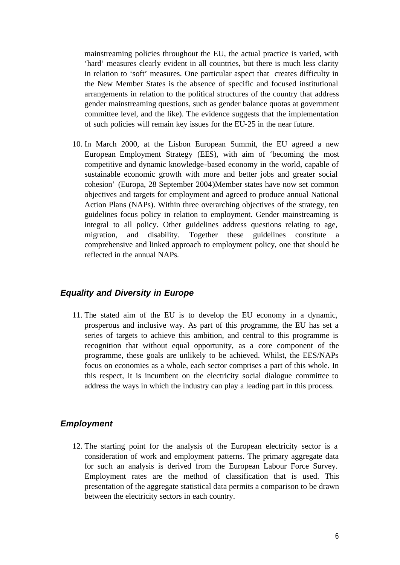mainstreaming policies throughout the EU, the actual practice is varied, with 'hard' measures clearly evident in all countries, but there is much less clarity in relation to 'soft' measures. One particular aspect that creates difficulty in the New Member States is the absence of specific and focused institutional arrangements in relation to the political structures of the country that address gender mainstreaming questions, such as gender balance quotas at government committee level, and the like). The evidence suggests that the implementation of such policies will remain key issues for the EU-25 in the near future.

10. In March 2000, at the Lisbon European Summit, the EU agreed a new European Employment Strategy (EES), with aim of 'becoming the most competitive and dynamic knowledge-based economy in the world, capable of sustainable economic growth with more and better jobs and greater social cohesion' (Europa, 28 September 2004)Member states have now set common objectives and targets for employment and agreed to produce annual National Action Plans (NAPs). Within three overarching objectives of the strategy, ten guidelines focus policy in relation to employment. Gender mainstreaming is integral to all policy. Other guidelines address questions relating to age, migration, and disability. Together these guidelines constitute comprehensive and linked approach to employment policy, one that should be reflected in the annual NAPs.

#### *Equality and Diversity in Europe*

11. The stated aim of the EU is to develop the EU economy in a dynamic, prosperous and inclusive way. As part of this programme, the EU has set a series of targets to achieve this ambition, and central to this programme is recognition that without equal opportunity, as a core component of the programme, these goals are unlikely to be achieved. Whilst, the EES/NAPs focus on economies as a whole, each sector comprises a part of this whole. In this respect, it is incumbent on the electricity social dialogue committee to address the ways in which the industry can play a leading part in this process.

### *Employment*

12. The starting point for the analysis of the European electricity sector is a consideration of work and employment patterns. The primary aggregate data for such an analysis is derived from the European Labour Force Survey. Employment rates are the method of classification that is used. This presentation of the aggregate statistical data permits a comparison to be drawn between the electricity sectors in each country.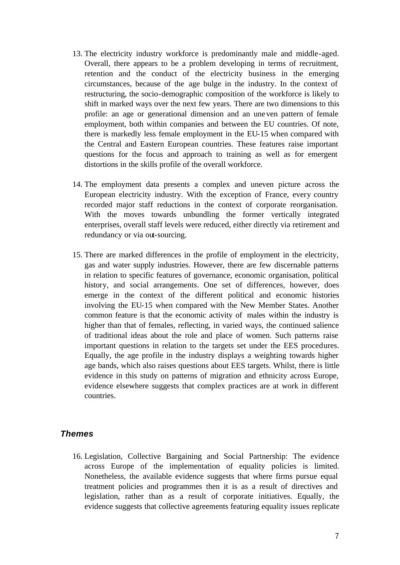- 13. The electricity industry workforce is predominantly male and middle-aged. Overall, there appears to be a problem developing in terms of recruitment, retention and the conduct of the electricity business in the emerging circumstances, because of the age bulge in the industry. In the context of restructuring, the socio-demographic composition of the workforce is likely to shift in marked ways over the next few years. There are two dimensions to this profile: an age or generational dimension and an uneven pattern of female employment, both within companies and between the EU countries. Of note, there is markedly less female employment in the EU-15 when compared with the Central and Eastern European countries. These features raise important questions for the focus and approach to training as well as for emergent distortions in the skills profile of the overall workforce.
- 14. The employment data presents a complex and uneven picture across the European electricity industry. With the exception of France, every country recorded major staff reductions in the context of corporate reorganisation. With the moves towards unbundling the former vertically integrated enterprises, overall staff levels were reduced, either directly via retirement and redundancy or via out-sourcing.
- 15. There are marked differences in the profile of employment in the electricity, gas and water supply industries. However, there are few discernable patterns in relation to specific features of governance, economic organisation, political history, and social arrangements. One set of differences, however, does emerge in the context of the different political and economic histories involving the EU-15 when compared with the New Member States. Another common feature is that the economic activity of males within the industry is higher than that of females, reflecting, in varied ways, the continued salience of traditional ideas about the role and place of women. Such patterns raise important questions in relation to the targets set under the EES procedures. Equally, the age profile in the industry displays a weighting towards higher age bands, which also raises questions about EES targets. Whilst, there is little evidence in this study on patterns of migration and ethnicity across Europe, evidence elsewhere suggests that complex practices are at work in different countries.

### *Themes*

16. Legislation, Collective Bargaining and Social Partnership: The evidence across Europe of the implementation of equality policies is limited. Nonetheless, the available evidence suggests that where firms pursue equal treatment policies and programmes then it is as a result of directives and legislation, rather than as a result of corporate initiatives. Equally, the evidence suggests that collective agreements featuring equality issues replicate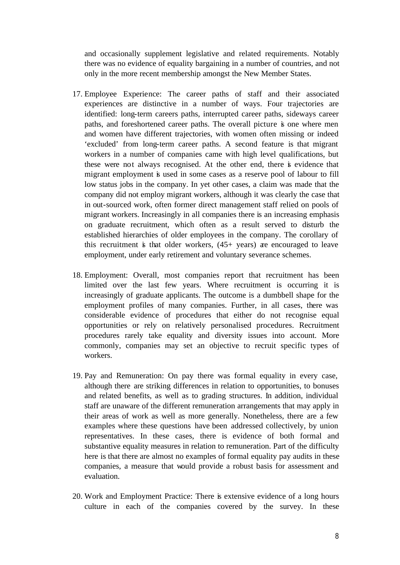and occasionally supplement legislative and related requirements. Notably there was no evidence of equality bargaining in a number of countries, and not only in the more recent membership amongst the New Member States.

- 17. Employee Experience: The career paths of staff and their associated experiences are distinctive in a number of ways. Four trajectories are identified: long-term careers paths, interrupted career paths, sideways career paths, and foreshortened career paths. The overall picture is one where men and women have different trajectories, with women often missing or indeed 'excluded' from long-term career paths. A second feature is that migrant workers in a number of companies came with high level qualifications, but these were not always recognised. At the other end, there is evidence that migrant employment is used in some cases as a reserve pool of labour to fill low status jobs in the company. In yet other cases, a claim was made that the company did not employ migrant workers, although it was clearly the case that in out-sourced work, often former direct management staff relied on pools of migrant workers. Increasingly in all companies there is an increasing emphasis on graduate recruitment, which often as a result served to disturb the established hierarchies of older employees in the company. The corollary of this recruitment is that older workers,  $(45+)$  years) are encouraged to leave employment, under early retirement and voluntary severance schemes.
- 18. Employment: Overall, most companies report that recruitment has been limited over the last few years. Where recruitment is occurring it is increasingly of graduate applicants. The outcome is a dumbbell shape for the employment profiles of many companies. Further, in all cases, there was considerable evidence of procedures that either do not recognise equal opportunities or rely on relatively personalised procedures. Recruitment procedures rarely take equality and diversity issues into account. More commonly, companies may set an objective to recruit specific types of workers.
- 19. Pay and Remuneration: On pay there was formal equality in every case, although there are striking differences in relation to opportunities, to bonuses and related benefits, as well as to grading structures. In addition, individual staff are unaware of the different remuneration arrangements that may apply in their areas of work as well as more generally. Nonetheless, there are a few examples where these questions have been addressed collectively, by union representatives. In these cases, there is evidence of both formal and substantive equality measures in relation to remuneration. Part of the difficulty here is that there are almost no examples of formal equality pay audits in these companies, a measure that would provide a robust basis for assessment and evaluation.
- 20. Work and Employment Practice: There is extensive evidence of a long hours culture in each of the companies covered by the survey. In these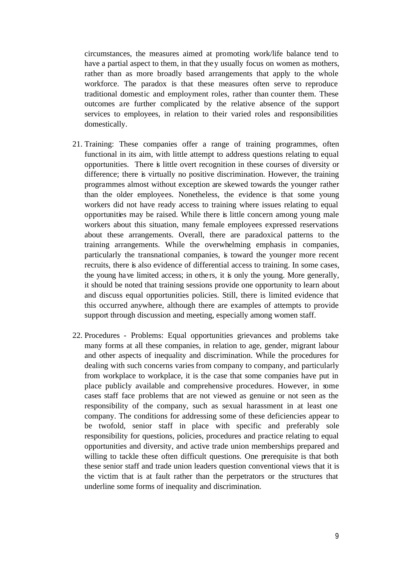circumstances, the measures aimed at promoting work/life balance tend to have a partial aspect to them, in that they usually focus on women as mothers, rather than as more broadly based arrangements that apply to the whole workforce. The paradox is that these measures often serve to reproduce traditional domestic and employment roles, rather than counter them. These outcomes are further complicated by the relative absence of the support services to employees, in relation to their varied roles and responsibilities domestically.

- 21. Training: These companies offer a range of training programmes, often functional in its aim, with little attempt to address questions relating to equal opportunities. There is little overt recognition in these courses of diversity or difference; there is virtually no positive discrimination. However, the training programmes almost without exception are skewed towards the younger rather than the older employees. Nonetheless, the evidence is that some young workers did not have ready access to training where issues relating to equal opportunities may be raised. While there is little concern among young male workers about this situation, many female employees expressed reservations about these arrangements. Overall, there are paradoxical patterns to the training arrangements. While the overwhelming emphasis in companies, particularly the transnational companies, is toward the younger more recent recruits, there is also evidence of differential access to training. In some cases, the young have limited access; in others, it is only the young. More generally, it should be noted that training sessions provide one opportunity to learn about and discuss equal opportunities policies. Still, there is limited evidence that this occurred anywhere, although there are examples of attempts to provide support through discussion and meeting, especially among women staff.
- 22. Procedures Problems: Equal opportunities grievances and problems take many forms at all these companies, in relation to age, gender, migrant labour and other aspects of inequality and discrimination. While the procedures for dealing with such concerns varies from company to company, and particularly from workplace to workplace, it is the case that some companies have put in place publicly available and comprehensive procedures. However, in some cases staff face problems that are not viewed as genuine or not seen as the responsibility of the company, such as sexual harassment in at least one company. The conditions for addressing some of these deficiencies appear to be twofold, senior staff in place with specific and preferably sole responsibility for questions, policies, procedures and practice relating to equal opportunities and diversity, and active trade union memberships prepared and willing to tackle these often difficult questions. One prerequisite is that both these senior staff and trade union leaders question conventional views that it is the victim that is at fault rather than the perpetrators or the structures that underline some forms of inequality and discrimination.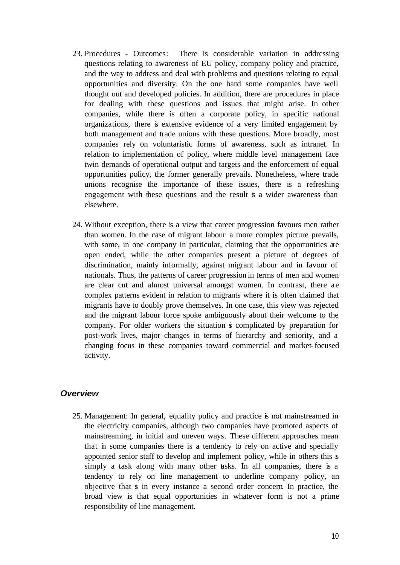- 23. Procedures Outcomes: There is considerable variation in addressing questions relating to awareness of EU policy, company policy and practice, and the way to address and deal with problems and questions relating to equal opportunities and diversity. On the one hand some companies have well thought out and developed policies. In addition, there are procedures in place for dealing with these questions and issues that might arise. In other companies, while there is often a corporate policy, in specific national organizations, there is extensive evidence of a very limited engagement by both management and trade unions with these questions. More broadly, most companies rely on voluntaristic forms of awareness, such as intranet. In relation to implementation of policy, where middle level management face twin demands of operational output and targets and the enforcement of equal opportunities policy, the former generally prevails. Nonetheless, where trade unions recognise the importance of these issues, there is a refreshing engagement with these questions and the result is a wider awareness than elsewhere.
- 24. Without exception, there is a view that career progression favours men rather than women. In the case of migrant labour a more complex picture prevails, with some, in one company in particular, claiming that the opportunities are open ended, while the other companies present a picture of degrees of discrimination, mainly informally, against migrant labour and in favour of nationals. Thus, the patterns of career progression in terms of men and women are clear cut and almost universal amongst women. In contrast, there are complex patterns evident in relation to migrants where it is often claimed that migrants have to doubly prove themselves. In one case, this view was rejected and the migrant labour force spoke ambiguously about their welcome to the company. For older workers the situation is complicated by preparation for post-work lives, major changes in terms of hierarchy and seniority, and a changing focus in these companies toward commercial and market-focused activity.

### *Overview*

25. Management: In general, equality policy and practice is not mainstreamed in the electricity companies, although two companies have promoted aspects of mainstreaming, in initial and uneven ways. These different approaches mean that in some companies there is a tendency to rely on active and specially appointed senior staff to develop and implement policy, while in others this is simply a task along with many other tasks. In all companies, there is a tendency to rely on line management to underline company policy, an objective that is in every instance a second order concern. In practice, the broad view is that equal opportunities in whatever form is not a prime responsibility of line management.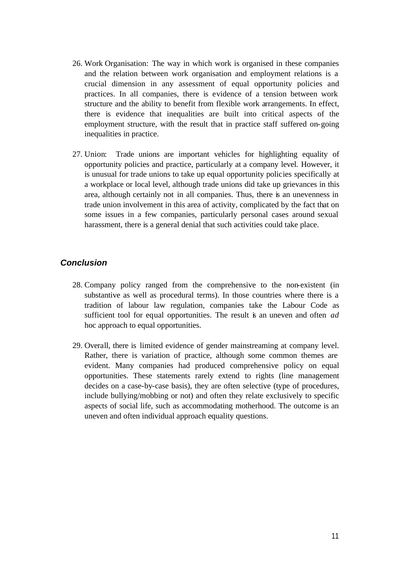- 26. Work Organisation: The way in which work is organised in these companies and the relation between work organisation and employment relations is a crucial dimension in any assessment of equal opportunity policies and practices. In all companies, there is evidence of a tension between work structure and the ability to benefit from flexible work arrangements. In effect, there is evidence that inequalities are built into critical aspects of the employment structure, with the result that in practice staff suffered on-going inequalities in practice.
- 27. Union: Trade unions are important vehicles for highlighting equality of opportunity policies and practice, particularly at a company level. However, it is unusual for trade unions to take up equal opportunity policies specifically at a workplace or local level, although trade unions did take up grievances in this area, although certainly not in all companies. Thus, there is an unevenness in trade union involvement in this area of activity, complicated by the fact that on some issues in a few companies, particularly personal cases around sexual harassment, there is a general denial that such activities could take place.

### *Conclusion*

- 28. Company policy ranged from the comprehensive to the non-existent (in substantive as well as procedural terms). In those countries where there is a tradition of labour law regulation, companies take the Labour Code as sufficient tool for equal opportunities. The result is an uneven and often *ad* hoc approach to equal opportunities.
- 29. Overall, there is limited evidence of gender mainstreaming at company level. Rather, there is variation of practice, although some common themes are evident. Many companies had produced comprehensive policy on equal opportunities. These statements rarely extend to rights (line management decides on a case-by-case basis), they are often selective (type of procedures, include bullying/mobbing or not) and often they relate exclusively to specific aspects of social life, such as accommodating motherhood. The outcome is an uneven and often individual approach equality questions.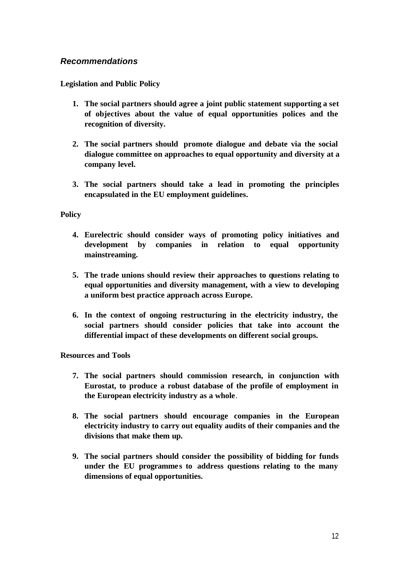## *Recommendations*

**Legislation and Public Policy**

- **1. The social partners should agree a joint public statement supporting a set of objectives about the value of equal opportunities polices and the recognition of diversity.**
- **2. The social partners should promote dialogue and debate via the social dialogue committee on approaches to equal opportunity and diversity at a company level.**
- **3. The social partners should take a lead in promoting the principles encapsulated in the EU employment guidelines.**

#### **Policy**

- **4. Eurelectric should consider ways of promoting policy initiatives and development by companies in relation to equal opportunity mainstreaming.**
- **5. The trade unions should review their approaches to questions relating to equal opportunities and diversity management, with a view to developing a uniform best practice approach across Europe.**
- **6. In the context of ongoing restructuring in the electricity industry, the social partners should consider policies that take into account the differential impact of these developments on different social groups.**

**Resources and Tools**

- **7. The social partners should commission research, in conjunction with Eurostat, to produce a robust database of the profile of employment in the European electricity industry as a whole**.
- **8. The social partners should encourage companies in the European electricity industry to carry out equality audits of their companies and the divisions that make them up.**
- **9. The social partners should consider the possibility of bidding for funds under the EU programmes to address questions relating to the many dimensions of equal opportunities.**